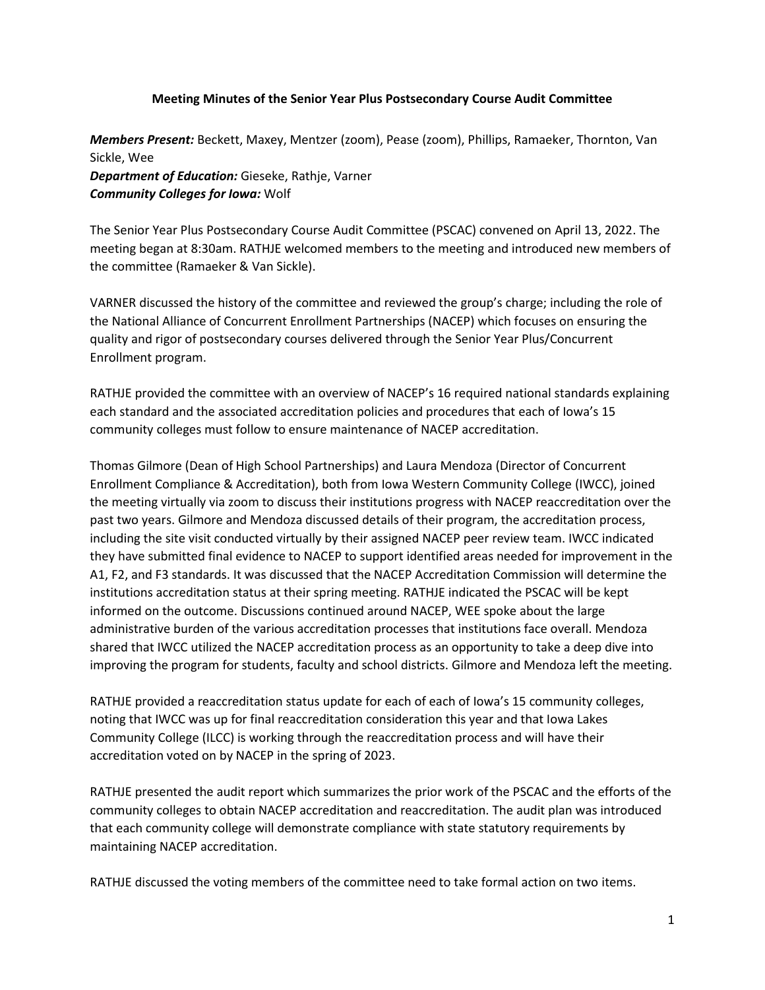## **Meeting Minutes of the Senior Year Plus Postsecondary Course Audit Committee**

*Members Present:* Beckett, Maxey, Mentzer (zoom), Pease (zoom), Phillips, Ramaeker, Thornton, Van Sickle, Wee *Department of Education:* Gieseke, Rathje, Varner *Community Colleges for Iowa:* Wolf

The Senior Year Plus Postsecondary Course Audit Committee (PSCAC) convened on April 13, 2022. The meeting began at 8:30am. RATHJE welcomed members to the meeting and introduced new members of the committee (Ramaeker & Van Sickle).

VARNER discussed the history of the committee and reviewed the group's charge; including the role of the National Alliance of Concurrent Enrollment Partnerships (NACEP) which focuses on ensuring the quality and rigor of postsecondary courses delivered through the Senior Year Plus/Concurrent Enrollment program.

RATHJE provided the committee with an overview of NACEP's 16 required national standards explaining each standard and the associated accreditation policies and procedures that each of Iowa's 15 community colleges must follow to ensure maintenance of NACEP accreditation.

Thomas Gilmore (Dean of High School Partnerships) and Laura Mendoza (Director of Concurrent Enrollment Compliance & Accreditation), both from Iowa Western Community College (IWCC), joined the meeting virtually via zoom to discuss their institutions progress with NACEP reaccreditation over the past two years. Gilmore and Mendoza discussed details of their program, the accreditation process, including the site visit conducted virtually by their assigned NACEP peer review team. IWCC indicated they have submitted final evidence to NACEP to support identified areas needed for improvement in the A1, F2, and F3 standards. It was discussed that the NACEP Accreditation Commission will determine the institutions accreditation status at their spring meeting. RATHJE indicated the PSCAC will be kept informed on the outcome. Discussions continued around NACEP, WEE spoke about the large administrative burden of the various accreditation processes that institutions face overall. Mendoza shared that IWCC utilized the NACEP accreditation process as an opportunity to take a deep dive into improving the program for students, faculty and school districts. Gilmore and Mendoza left the meeting.

RATHJE provided a reaccreditation status update for each of each of Iowa's 15 community colleges, noting that IWCC was up for final reaccreditation consideration this year and that Iowa Lakes Community College (ILCC) is working through the reaccreditation process and will have their accreditation voted on by NACEP in the spring of 2023.

RATHJE presented the audit report which summarizes the prior work of the PSCAC and the efforts of the community colleges to obtain NACEP accreditation and reaccreditation. The audit plan was introduced that each community college will demonstrate compliance with state statutory requirements by maintaining NACEP accreditation.

RATHJE discussed the voting members of the committee need to take formal action on two items.